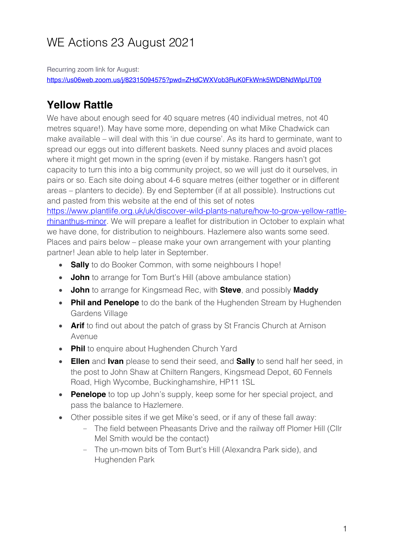# WE Actions 23 August 2021

Recurring zoom link for August: https://us06web.zoom.us/j/82315094575?pwd=ZHdCWXVob3RuK0FkWnk5WDBNdWlpUT09

### **Yellow Rattle**

We have about enough seed for 40 square metres (40 individual metres, not 40 metres square!). May have some more, depending on what Mike Chadwick can make available – will deal with this 'in due course'. As its hard to germinate, want to spread our eggs out into different baskets. Need sunny places and avoid places where it might get mown in the spring (even if by mistake. Rangers hasn't got capacity to turn this into a big community project, so we will just do it ourselves, in pairs or so. Each site doing about 4-6 square metres (either together or in different areas – planters to decide). By end September (if at all possible). Instructions cut and pasted from this website at the end of this set of notes https://www.plantlife.org.uk/uk/discover-wild-plants-nature/how-to-grow-yellow-rattlerhinanthus-minor. We will prepare a leaflet for distribution in October to explain what we have done, for distribution to neighbours. Hazlemere also wants some seed. Places and pairs below – please make your own arrangement with your planting

partner! Jean able to help later in September.

- **Sally** to do Booker Common, with some neighbours I hope!
- **John** to arrange for Tom Burt's Hill (above ambulance station)
- **John** to arrange for Kingsmead Rec, with **Steve**, and possibly **Maddy**
- **Phil and Penelope** to do the bank of the Hughenden Stream by Hughenden Gardens Village
- **Arif** to find out about the patch of grass by St Francis Church at Arnison Avenue
- **Phil** to enquire about Hughenden Church Yard
- **Ellen** and **Ivan** please to send their seed, and **Sally** to send half her seed, in the post to John Shaw at Chiltern Rangers, Kingsmead Depot, 60 Fennels Road, High Wycombe, Buckinghamshire, HP11 1SL
- **Penelope** to top up John's supply, keep some for her special project, and pass the balance to Hazlemere.
- Other possible sites if we get Mike's seed, or if any of these fall away:
	- The field between Pheasants Drive and the railway off Plomer Hill (Cllr Mel Smith would be the contact)
	- The un-mown bits of Tom Burt's Hill (Alexandra Park side), and Hughenden Park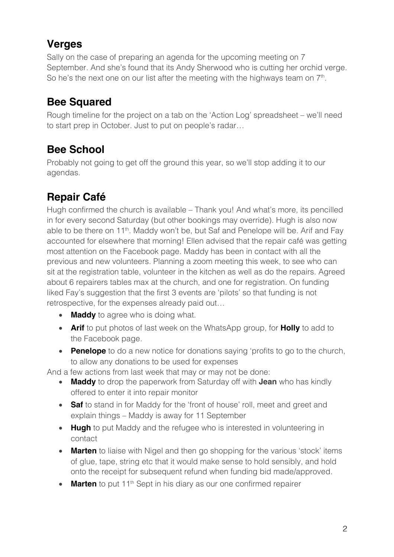## **Verges**

Sally on the case of preparing an agenda for the upcoming meeting on 7 September. And she's found that its Andy Sherwood who is cutting her orchid verge. So he's the next one on our list after the meeting with the highways team on  $7<sup>th</sup>$ .

## **Bee Squared**

Rough timeline for the project on a tab on the 'Action Log' spreadsheet – we'll need to start prep in October. Just to put on people's radar…

## **Bee School**

Probably not going to get off the ground this year, so we'll stop adding it to our agendas.

# **Repair Café**

Hugh confirmed the church is available – Thank you! And what's more, its pencilled in for every second Saturday (but other bookings may override). Hugh is also now able to be there on 11<sup>th</sup>. Maddy won't be, but Saf and Penelope will be. Arif and Fay accounted for elsewhere that morning! Ellen advised that the repair café was getting most attention on the Facebook page. Maddy has been in contact with all the previous and new volunteers. Planning a zoom meeting this week, to see who can sit at the registration table, volunteer in the kitchen as well as do the repairs. Agreed about 6 repairers tables max at the church, and one for registration. On funding liked Fay's suggestion that the first 3 events are 'pilots' so that funding is not retrospective, for the expenses already paid out…

- **Maddy** to agree who is doing what.
- **Arif** to put photos of last week on the WhatsApp group, for **Holly** to add to the Facebook page.
- **Penelope** to do a new notice for donations saying 'profits to go to the church, to allow any donations to be used for expenses

And a few actions from last week that may or may not be done:

- **Maddy** to drop the paperwork from Saturday off with **Jean** who has kindly offered to enter it into repair monitor
- **Saf** to stand in for Maddy for the 'front of house' roll, meet and greet and explain things – Maddy is away for 11 September
- **Hugh** to put Maddy and the refugee who is interested in volunteering in contact
- **Marten** to liaise with Nigel and then go shopping for the various 'stock' items of glue, tape, string etc that it would make sense to hold sensibly, and hold onto the receipt for subsequent refund when funding bid made/approved.
- **Marten** to put 11<sup>th</sup> Sept in his diary as our one confirmed repairer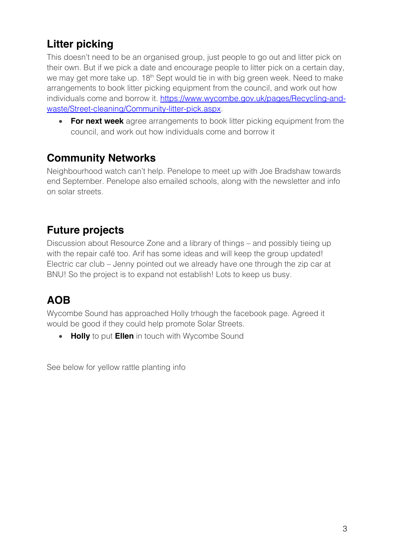# **Litter picking**

This doesn't need to be an organised group, just people to go out and litter pick on their own. But if we pick a date and encourage people to litter pick on a certain day, we may get more take up. 18<sup>th</sup> Sept would tie in with big green week. Need to make arrangements to book litter picking equipment from the council, and work out how individuals come and borrow it. https://www.wycombe.gov.uk/pages/Recycling-andwaste/Street-cleaning/Community-litter-pick.aspx.

• **For next week** agree arrangements to book litter picking equipment from the council, and work out how individuals come and borrow it

#### **Community Networks**

Neighbourhood watch can't help. Penelope to meet up with Joe Bradshaw towards end September. Penelope also emailed schools, along with the newsletter and info on solar streets.

### **Future projects**

Discussion about Resource Zone and a library of things – and possibly tieing up with the repair café too. Arif has some ideas and will keep the group updated! Electric car club – Jenny pointed out we already have one through the zip car at BNU! So the project is to expand not establish! Lots to keep us busy.

## **AOB**

Wycombe Sound has approached Holly trhough the facebook page. Agreed it would be good if they could help promote Solar Streets.

• **Holly** to put **Ellen** in touch with Wycombe Sound

See below for yellow rattle planting info